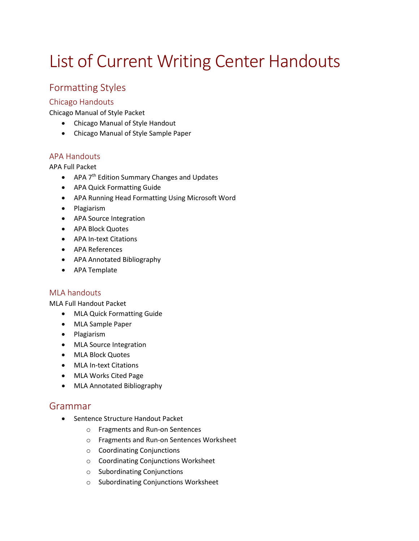# List of Current Writing Center Handouts

# Formatting Styles

#### Chicago Handouts

Chicago Manual of Style Packet

- Chicago Manual of Style Handout
- Chicago Manual of Style Sample Paper

#### APA Handouts

#### APA Full Packet

- APA 7<sup>th</sup> Edition Summary Changes and Updates
- APA Quick Formatting Guide
- APA Running Head Formatting Using Microsoft Word
- Plagiarism
- APA Source Integration
- APA Block Quotes
- APA In-text Citations
- APA References
- APA Annotated Bibliography
- APA Template

#### MLA handouts

MLA Full Handout Packet

- MLA Quick Formatting Guide
- MLA Sample Paper
- Plagiarism
- MLA Source Integration
- MLA Block Quotes
- MLA In-text Citations
- MLA Works Cited Page
- MLA Annotated Bibliography

#### Grammar

- Sentence Structure Handout Packet
	- o Fragments and Run-on Sentences
	- o Fragments and Run-on Sentences Worksheet
	- o Coordinating Conjunctions
	- o Coordinating Conjunctions Worksheet
	- o Subordinating Conjunctions
	- o Subordinating Conjunctions Worksheet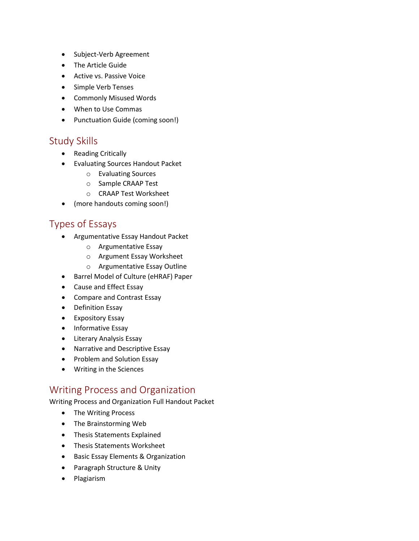- Subject-Verb Agreement
- The Article Guide
- Active vs. Passive Voice
- Simple Verb Tenses
- Commonly Misused Words
- When to Use Commas
- Punctuation Guide (coming soon!)

## Study Skills

- Reading Critically
- Evaluating Sources Handout Packet
	- o Evaluating Sources
	- o Sample CRAAP Test
	- o CRAAP Test Worksheet
- (more handouts coming soon!)

## Types of Essays

- Argumentative Essay Handout Packet
	- o Argumentative Essay
	- o Argument Essay Worksheet
	- o Argumentative Essay Outline
- Barrel Model of Culture (eHRAF) Paper
- Cause and Effect Essay
- Compare and Contrast Essay
- Definition Essay
- Expository Essay
- Informative Essay
- Literary Analysis Essay
- Narrative and Descriptive Essay
- Problem and Solution Essay
- Writing in the Sciences

# Writing Process and Organization

Writing Process and Organization Full Handout Packet

- The Writing Process
- The Brainstorming Web
- Thesis Statements Explained
- Thesis Statements Worksheet
- Basic Essay Elements & Organization
- Paragraph Structure & Unity
- Plagiarism